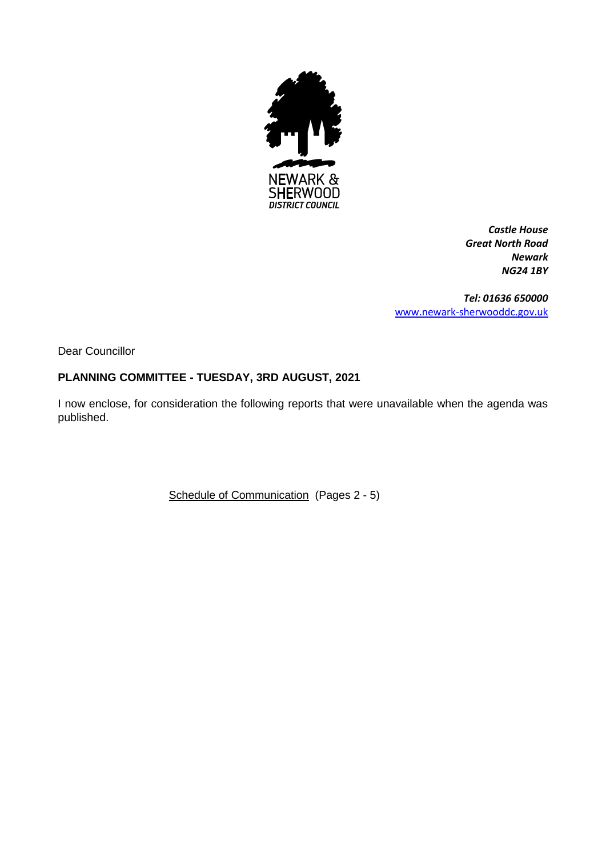

*Castle House Great North Road Newark NG24 1BY*

*Tel: 01636 650000* [www.newark-sherwooddc.gov.uk](http://www.newark-sherwooddc.gov.uk/)

Dear Councillor

## **PLANNING COMMITTEE - TUESDAY, 3RD AUGUST, 2021**

I now enclose, for consideration the following reports that were unavailable when the agenda was published.

Schedule of Communication (Pages 2 - 5)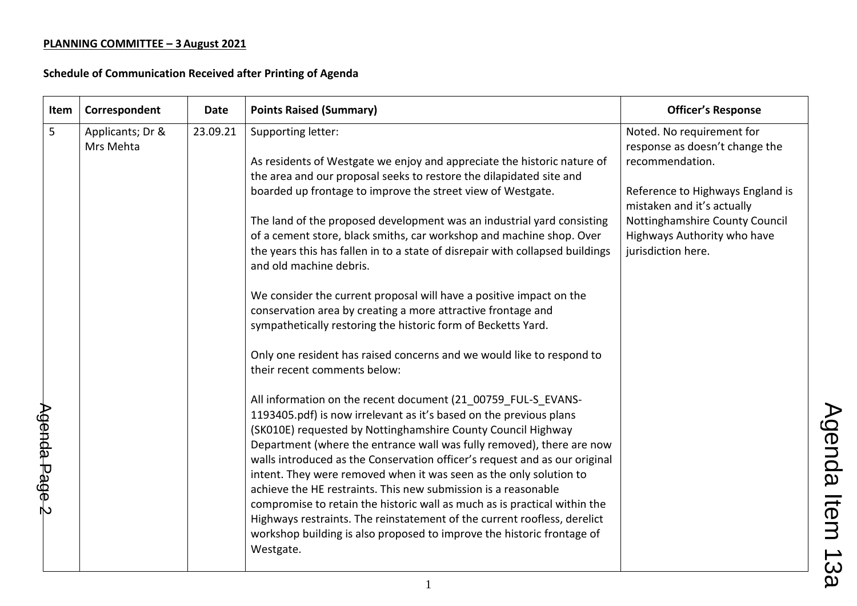| Item | Correspondent    | <b>Date</b> | <b>Points Raised (Summary)</b>                                                                           | <b>Officer's Response</b>                                      |
|------|------------------|-------------|----------------------------------------------------------------------------------------------------------|----------------------------------------------------------------|
| 5    | Applicants; Dr & | 23.09.21    | Supporting letter:                                                                                       | Noted. No requirement for                                      |
|      | Mrs Mehta        |             |                                                                                                          | response as doesn't change the                                 |
|      |                  |             | As residents of Westgate we enjoy and appreciate the historic nature of                                  | recommendation.                                                |
|      |                  |             | the area and our proposal seeks to restore the dilapidated site and                                      |                                                                |
|      |                  |             | boarded up frontage to improve the street view of Westgate.                                              | Reference to Highways England is<br>mistaken and it's actually |
|      |                  |             | The land of the proposed development was an industrial yard consisting                                   | Nottinghamshire County Council                                 |
|      |                  |             | of a cement store, black smiths, car workshop and machine shop. Over                                     | Highways Authority who have                                    |
|      |                  |             | the years this has fallen in to a state of disrepair with collapsed buildings<br>and old machine debris. | jurisdiction here.                                             |
|      |                  |             | We consider the current proposal will have a positive impact on the                                      |                                                                |
|      |                  |             | conservation area by creating a more attractive frontage and                                             |                                                                |
|      |                  |             | sympathetically restoring the historic form of Becketts Yard.                                            |                                                                |
|      |                  |             | Only one resident has raised concerns and we would like to respond to                                    |                                                                |
|      |                  |             | their recent comments below:                                                                             |                                                                |
|      |                  |             | All information on the recent document (21 00759 FUL-S EVANS-                                            |                                                                |
|      |                  |             | 1193405.pdf) is now irrelevant as it's based on the previous plans                                       |                                                                |
|      |                  |             | (SK010E) requested by Nottinghamshire County Council Highway                                             |                                                                |
|      |                  |             | Department (where the entrance wall was fully removed), there are now                                    |                                                                |
|      |                  |             | walls introduced as the Conservation officer's request and as our original                               |                                                                |
|      |                  |             | intent. They were removed when it was seen as the only solution to                                       |                                                                |
|      |                  |             | achieve the HE restraints. This new submission is a reasonable                                           |                                                                |
|      |                  |             | compromise to retain the historic wall as much as is practical within the                                |                                                                |
|      |                  |             | Highways restraints. The reinstatement of the current roofless, derelict                                 |                                                                |
|      |                  |             | workshop building is also proposed to improve the historic frontage of                                   |                                                                |
|      |                  |             | Westgate.                                                                                                |                                                                |
|      |                  |             |                                                                                                          |                                                                |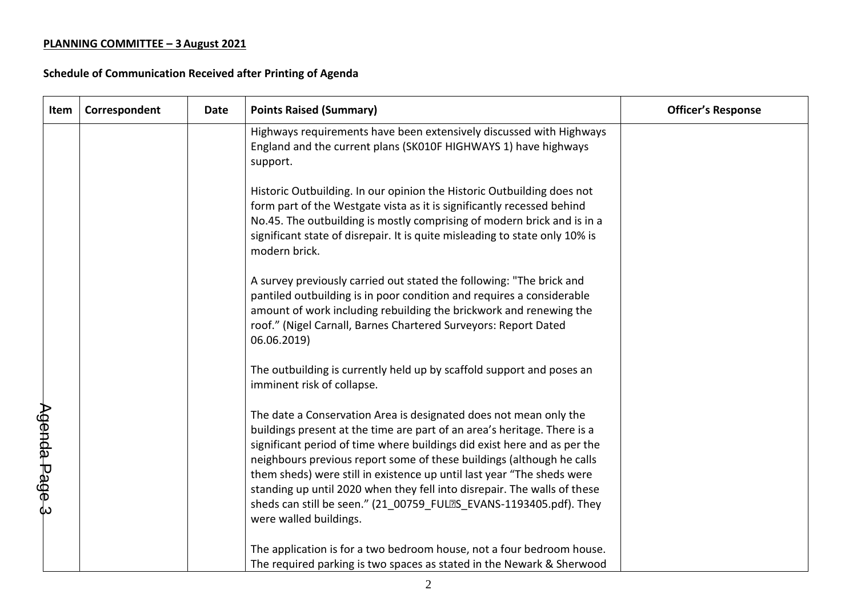| Item          | Correspondent | <b>Date</b> | <b>Points Raised (Summary)</b>                                                                                                                                                                                                                                                                                                                                                                                                                                                                                                                           | <b>Officer's Response</b> |
|---------------|---------------|-------------|----------------------------------------------------------------------------------------------------------------------------------------------------------------------------------------------------------------------------------------------------------------------------------------------------------------------------------------------------------------------------------------------------------------------------------------------------------------------------------------------------------------------------------------------------------|---------------------------|
|               |               |             | Highways requirements have been extensively discussed with Highways<br>England and the current plans (SK010F HIGHWAYS 1) have highways<br>support.                                                                                                                                                                                                                                                                                                                                                                                                       |                           |
|               |               |             | Historic Outbuilding. In our opinion the Historic Outbuilding does not<br>form part of the Westgate vista as it is significantly recessed behind<br>No.45. The outbuilding is mostly comprising of modern brick and is in a<br>significant state of disrepair. It is quite misleading to state only 10% is<br>modern brick.                                                                                                                                                                                                                              |                           |
|               |               |             | A survey previously carried out stated the following: "The brick and<br>pantiled outbuilding is in poor condition and requires a considerable<br>amount of work including rebuilding the brickwork and renewing the<br>roof." (Nigel Carnall, Barnes Chartered Surveyors: Report Dated<br>06.06.2019)                                                                                                                                                                                                                                                    |                           |
|               |               |             | The outbuilding is currently held up by scaffold support and poses an<br>imminent risk of collapse.                                                                                                                                                                                                                                                                                                                                                                                                                                                      |                           |
| Agenda Page 3 |               |             | The date a Conservation Area is designated does not mean only the<br>buildings present at the time are part of an area's heritage. There is a<br>significant period of time where buildings did exist here and as per the<br>neighbours previous report some of these buildings (although he calls<br>them sheds) were still in existence up until last year "The sheds were<br>standing up until 2020 when they fell into disrepair. The walls of these<br>sheds can still be seen." (21 00759 FULES EVANS-1193405.pdf). They<br>were walled buildings. |                           |
|               |               |             | The application is for a two bedroom house, not a four bedroom house.<br>The required parking is two spaces as stated in the Newark & Sherwood                                                                                                                                                                                                                                                                                                                                                                                                           |                           |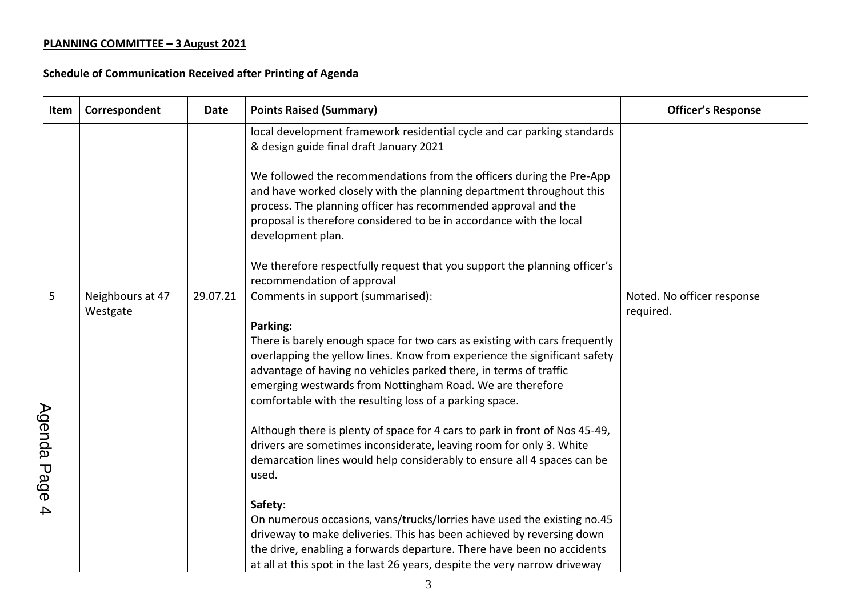| Item          | Correspondent                | Date     | <b>Points Raised (Summary)</b>                                                                                                                                                                                                                                                                                                                                   | <b>Officer's Response</b>               |
|---------------|------------------------------|----------|------------------------------------------------------------------------------------------------------------------------------------------------------------------------------------------------------------------------------------------------------------------------------------------------------------------------------------------------------------------|-----------------------------------------|
|               |                              |          | local development framework residential cycle and car parking standards<br>& design guide final draft January 2021                                                                                                                                                                                                                                               |                                         |
|               |                              |          | We followed the recommendations from the officers during the Pre-App<br>and have worked closely with the planning department throughout this<br>process. The planning officer has recommended approval and the<br>proposal is therefore considered to be in accordance with the local<br>development plan.                                                       |                                         |
|               |                              |          | We therefore respectfully request that you support the planning officer's<br>recommendation of approval                                                                                                                                                                                                                                                          |                                         |
| 5             | Neighbours at 47<br>Westgate | 29.07.21 | Comments in support (summarised):                                                                                                                                                                                                                                                                                                                                | Noted. No officer response<br>required. |
|               |                              |          | Parking:<br>There is barely enough space for two cars as existing with cars frequently<br>overlapping the yellow lines. Know from experience the significant safety<br>advantage of having no vehicles parked there, in terms of traffic<br>emerging westwards from Nottingham Road. We are therefore<br>comfortable with the resulting loss of a parking space. |                                         |
| Agenda Page 4 |                              |          | Although there is plenty of space for 4 cars to park in front of Nos 45-49,<br>drivers are sometimes inconsiderate, leaving room for only 3. White<br>demarcation lines would help considerably to ensure all 4 spaces can be<br>used.                                                                                                                           |                                         |
|               |                              |          | Safety:<br>On numerous occasions, vans/trucks/lorries have used the existing no.45                                                                                                                                                                                                                                                                               |                                         |
|               |                              |          | driveway to make deliveries. This has been achieved by reversing down<br>the drive, enabling a forwards departure. There have been no accidents<br>at all at this spot in the last 26 years, despite the very narrow driveway                                                                                                                                    |                                         |